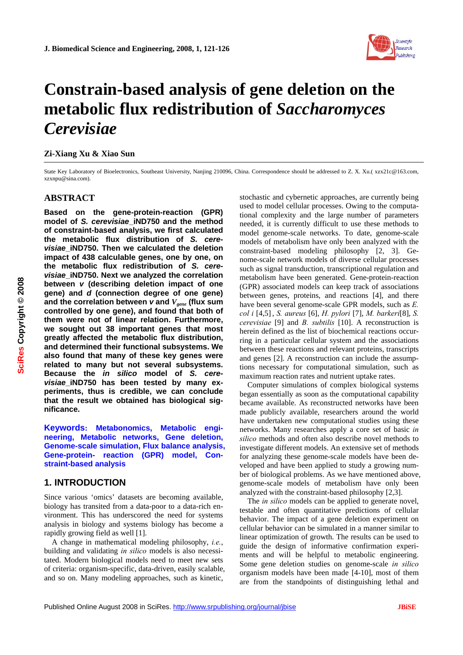

# **Constrain-based analysis of gene deletion on the metabolic flux redistribution of** *Saccharomyces Cerevisiae*

## **Zi-Xiang Xu & Xiao Sun**

State Key Laboratory of Bioelectronics, Southeast University, Nanjing 210096, China. Correspondence should be addressed to Z. X. Xu.( xzx21c@163.com, xzxnpu@sina.com).

# **ABSTRACT**

**Based on the gene-protein-reaction (GPR) model of** *S. cerevisiae***\_iND750 and the method of constraint-based analysis, we first calculated the metabolic flux distribution of** *S. cerevisiae***\_iND750. Then we calculated the deletion impact of 438 calculable genes, one by one, on the metabolic flux redistribution of** *S. cerevisiae***\_iND750. Next we analyzed the correlation between** *v* **(describing deletion impact of one gene) and** *d* **(connection degree of one gene) and the correlation between** *v* **and** *Vgene* **(flux sum controlled by one gene), and found that both of them were not of linear relation. Furthermore, we sought out 38 important genes that most greatly affected the metabolic flux distribution, and determined their functional subsystems. We also found that many of these key genes were related to many but not several subsystems. Because the** *in silico* **model of** *S. cerevisiae***\_iND750 has been tested by many experiments, thus is credible, we can conclude that the result we obtained has biological significance.** 

**Keywords: Metabonomics, Metabolic engineering, Metabolic networks, Gene deletion, Genome-scale simulation, Flux balance analysis, Gene-protein- reaction (GPR) model, Constraint-based analysis** 

# **1. INTRODUCTION**

Since various 'omics' datasets are becoming available, biology has transited from a data-poor to a data-rich environment. This has underscored the need for systems analysis in biology and systems biology has become a rapidly growing field as well [1].

A change in mathematical modeling philosophy, *i.e.*, building and validating *in silico* models is also necessitated. Modern biological models need to meet new sets of criteria: organism-specific, data-driven, easily scalable, and so on. Many modeling approaches, such as kinetic,

stochastic and cybernetic approaches, are currently being used to model cellular processes. Owing to the computational complexity and the large number of parameters needed, it is currently difficult to use these methods to model genome-scale networks. To date, genome-scale models of metabolism have only been analyzed with the constraint-based modeling philosophy [2, 3]. Genome-scale network models of diverse cellular processes such as signal transduction, transcriptional regulation and metabolism have been generated. Gene-protein-reaction (GPR) associated models can keep track of associations between genes, proteins, and reactions [4], and there have been several genome-scale GPR models, such as *E. col i* [4,5], *S. aureus* [6], *H. pylori* [7], *M. barkeri*[8], *S. cerevisiae* [9] and *B. subtilis* [10]. A reconstruction is herein defined as the list of biochemical reactions occurring in a particular cellular system and the associations between these reactions and relevant proteins, transcripts and genes [2]. A reconstruction can include the assumptions necessary for computational simulation, such as maximum reaction rates and nutrient uptake rates.

Computer simulations of complex biological systems began essentially as soon as the computational capability became available. As reconstructed networks have been made publicly available, researchers around the world have undertaken new computational studies using these networks. Many researches apply a core set of basic *in silico* methods and often also describe novel methods to investigate different models. An extensive set of methods for analyzing these genome-scale models have been developed and have been applied to study a growing number of biological problems. As we have mentioned above, genome-scale models of metabolism have only been analyzed with the constraint-based philosophy [2,3].

The *in silico* models can be applied to generate novel, testable and often quantitative predictions of cellular behavior. The impact of a gene deletion experiment on cellular behavior can be simulated in a manner similar to linear optimization of growth. The results can be used to guide the design of informative confirmation experiments and will be helpful to metabolic engineering. Some gene deletion studies on genome-scale *in silico* organism models have been made [4-10], most of them are from the standpoints of distinguishing lethal and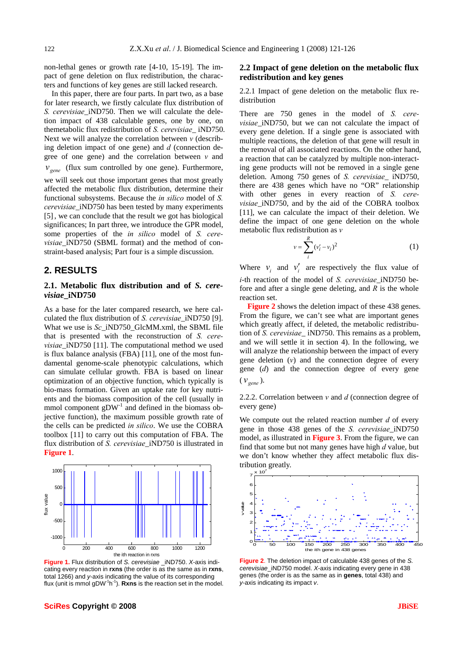non-lethal genes or growth rate [4-10, 15-19]. The impact of gene deletion on flux redistribution, the characters and functions of key genes are still lacked research.

In this paper, there are four parts. In part two, as a base for later research, we firstly calculate flux distribution of *S. cerevisiae*\_iND750. Then we will calculate the deletion impact of 438 calculable genes, one by one, on themetabolic flux redistribution of *S. cerevisiae*\_ iND750. Next we will analyze the correlation between *v* (describing deletion impact of one gene) and *d* (connection degree of one gene) and the correlation between *v* and  $v_{\text{gene}}$  (flux sum controlled by one gene). Furthermore, we will seek out those important genes that most greatly affected the metabolic flux distribution, determine their functional subsystems. Because the *in silico* model of *S. cerevisiae*\_iND750 has been tested by many experiments [5], we can conclude that the result we got has biological significances; In part three, we introduce the GPR model, some properties of the *in silico* model of *S. cerevisiae* iND750 (SBML format) and the method of constraint-based analysis; Part four is a simple discussion.

## **2. RESULTS**

## **2.1. Metabolic flux distribution and of** *S. cerevisiae***\_iND750**

As a base for the later compared research, we here calculated the flux distribution of *S. cerevisiae*\_iND750 [9]. What we use is *Sc* iND750 GlcMM.xml, the SBML file that is presented with the reconstruction of *S. cerevisiae* iND750 [11]. The computational method we used is flux balance analysis (FBA) [11], one of the most fundamental genome-scale phenotypic calculations, which can simulate cellular growth. FBA is based on linear optimization of an objective function, which typically is bio-mass formation. Given an uptake rate for key nutrients and the biomass composition of the cell (usually in mmol component  $gDW<sup>-1</sup>$  and defined in the biomass objective function), the maximum possible growth rate of the cells can be predicted *in silico*. We use the COBRA toolbox [11] to carry out this computation of FBA. The flux distribution of *S. cerevisiae*\_iND750 is illustrated in **Figure 1**.



**Figure 1.** Flux distribution of *S. cerevisiae* \_iND750. *X*-axis indicating every reaction in **rxns** (the order is as the same as in **rxns**, total 1266) and *y*-axis indicating the value of its corresponding flux (unit is mmol gDW-1h-1). **Rxns** is the reaction set in the model.

# **2.2 Impact of gene deletion on the metabolic flux redistribution and key genes**

2.2.1 Impact of gene deletion on the metabolic flux redistribution

There are 750 genes in the model of *S. cerevisiae*\_iND750, but we can not calculate the impact of every gene deletion. If a single gene is associated with multiple reactions, the deletion of that gene will result in the removal of all associated reactions. On the other hand, a reaction that can be catalyzed by multiple non-interacting gene products will not be removed in a single gene deletion. Among 750 genes of *S. cerevisiae*\_ iND750, there are 438 genes which have no "OR" relationship with other genes in every reaction of *S. cerevisiae* iND750, and by the aid of the COBRA toolbox [11], we can calculate the impact of their deletion. We define the impact of one gene deletion on the whole metabolic flux redistribution as *v*

$$
v = \sum_{i}^{R} (v_i' - v_i)^2
$$
 (1)

Where  $v_i$  and  $v'_i$  are respectively the flux value of *i*-th reaction of the model of *S. cerevisiae* iND750 before and after a single gene deleting, and *R* is the whole reaction set.

Figure 2 shows the deletion impact of these 438 genes. From the figure, we can't see what are important genes which greatly affect, if deleted, the metabolic redistribution of *S. cerevisiae*\_ iND750. This remains as a problem, and we will settle it in section 4). In the following, we will analyze the relationship between the impact of every gene deletion (*v*) and the connection degree of every gene (*d*) and the connection degree of every gene  $(\mathcal{V}_{\text{gene}})$ .

2.2.2. Correlation between *v* and *d* (connection degree of every gene)

We compute out the related reaction number *d* of every gene in those 438 genes of the *S. cerevisiae*\_iND750 model, as illustrated in **Figure 3**. From the figure, we can find that some but not many genes have high *d* value, but we don't know whether they affect metabolic flux distribution greatly.



**Figure 2**. The deletion impact of calculable 438 genes of the *S. cerevisiae*\_iND750 model. *X*-axis indicating every gene in 438 genes (the order is as the same as in **genes**, total 438) and *y*-axis indicating its impact *v*.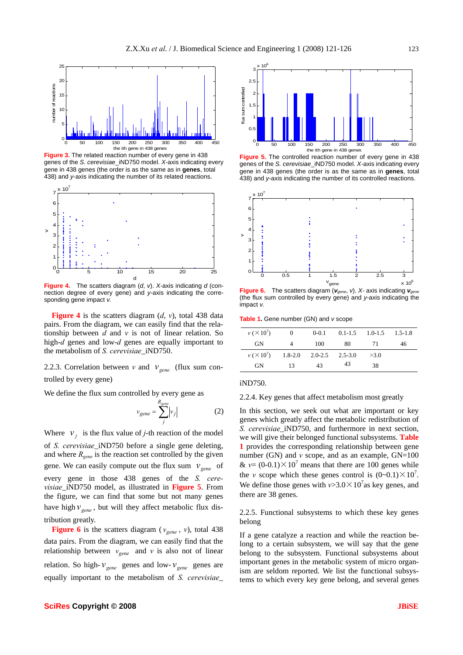

**Figure 3.** The related reaction number of every gene in 438 genes of the *S. cerevisiae*\_iND750 model. *X-*axis indicating every gene in 438 genes (the order is as the same as in **genes**, total 438) and *y-*axis indicating the number of its related reactions.



**Figure 4.** The scatters diagram (*d*, *v*). *X-*axis indicating *d* (connection degree of every gene) and *y-*axis indicating the corresponding gene impact *v.* 

**Figure 4** is the scatters diagram (*d*, *v*), total 438 data pairs. From the diagram, we can easily find that the relationship between *d* and *v* is not of linear relation. So high-*d* genes and low-*d* genes are equally important to the metabolism of *S. cerevisiae*\_iND750.

2.2.3. Correlation between *v* and  $v_{\text{gene}}$  (flux sum controlled by every gene)

We define the flux sum controlled by every gene as

$$
v_{gene} = \sum_{j}^{R_{gene}} |v_j|
$$
 (2)

Where  $v_i$  is the flux value of *j*-th reaction of the model of *S. cerevisiae*\_iND750 before a single gene deleting, and where *Rgene* is the reaction set controlled by the given gene. We can easily compute out the flux sum  $v_{\text{gene}}$  of every gene in those 438 genes of the *S. cerevisiae*\_iND750 model, as illustrated in **Figure 5**. From the figure, we can find that some but not many genes have high  $v_{\text{open}}$ , but will they affect metabolic flux distribution greatly.

**Figure 6** is the scatters diagram ( $v_{\text{gene}}$ , *v*), total 438 data pairs. From the diagram, we can easily find that the relationship between  $v_{\text{gene}}$  and  $v$  is also not of linear relation. So high- $v_{\text{gene}}$  genes and low- $v_{\text{gene}}$  genes are equally important to the metabolism of *S. cerevisiae*\_



**Figure 5.** The controlled reaction number of every gene in 438 genes of the *S. cerevisiae*\_iND750 model. *X-*axis indicating every gene in 438 genes (the order is as the same as in **genes**, total 438) and *y-*axis indicating the number of its controlled reactions.



**Figure 6.** The scatters diagram ( $v_{\text{gene}}$ ,  $v$ ). *X*- axis indicating  $v_{\text{gene}}$ (the flux sum controlled by every gene) and *y-*axis indicating the impact *v.* 

**Table 1.** Gene number (GN) and *v* scope

| $v (X 10^7)$ | $\sim 0$                      | $0 - 0.1$ |     | $0.1-1.5$ $1.0-1.5$ $1.5-1.8$ |    |
|--------------|-------------------------------|-----------|-----|-------------------------------|----|
| <b>GN</b>    | $\overline{4}$                | 100       | -80 | 71                            | 46 |
| $v (X 10^7)$ | $1.8-2.0$ $2.0-2.5$ $2.5-3.0$ |           |     | >3.0                          |    |
| <b>GN</b>    | 13                            | 43        | 43  | 38                            |    |

iND750.

2.2.4. Key genes that affect metabolism most greatly

In this section, we seek out what are important or key genes which greatly affect the metabolic redistribution of *S. cerevisiae*\_iND750, and furthermore in next section, we will give their belonged functional subsystems. **Table 1** provides the corresponding relationship between gene number (GN) and  $\nu$  scope, and as an example,  $GN=100$ &  $v = (0.0.1) \times 10^7$  means that there are 100 genes while the *v* scope which these genes control is  $(0-0.1) \times 10^7$ . We define those genes with  $v > 3.0 \times 10^7$  as key genes, and there are 38 genes.

2.2.5. Functional subsystems to which these key genes belong

If a gene catalyze a reaction and while the reaction belong to a certain subsystem, we will say that the gene belong to the subsystem. Functional subsystems about important genes in the metabolic system of micro organism are seldom reported. We list the functional subsystems to which every key gene belong, and several genes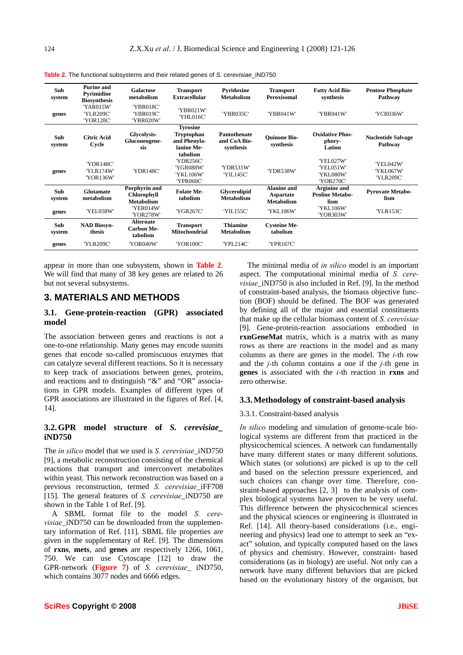| Sub<br>system | <b>Purine and</b><br>Pyrimidine<br><b>Biosynthesis</b> | <b>Galactose</b><br>metabolism                           | <b>Transport</b><br><b>Extracellular</b>                                       | Pyridoxine<br><b>Metabolism</b>           | <b>Transport</b><br>Peroxisomal                      | <b>Fatty Acid Bio-</b><br>synthesis              | <b>Pentose Phosphate</b><br>Pathway  |
|---------------|--------------------------------------------------------|----------------------------------------------------------|--------------------------------------------------------------------------------|-------------------------------------------|------------------------------------------------------|--------------------------------------------------|--------------------------------------|
| genes         | 'YAR015W'<br>'YLR209C'<br>'YOR128C'                    | 'YBR018C'<br>'YBR019C'<br>'YBR020W'                      | 'YBR021W'<br>'YHL016C'                                                         | 'YBR035C'                                 | 'YBR041W'                                            | 'YBR041W'                                        | 'YCR036W'                            |
| Sub<br>system | <b>Citric Acid</b><br>Cycle                            | Glycolysis-<br>Gluconeogene-<br>sis                      | <b>Tyrosine</b><br><b>Tryptophan</b><br>and Phenyla-<br>lanine Me-<br>tabolism | Pantothenate<br>and CoA Bio-<br>synthesis | <b>Ouinone Bio-</b><br>synthesis                     | <b>Oxidative Phos-</b><br>phory-<br>Lation       | <b>Nucleotide Salvage</b><br>Pathway |
| genes         | 'YDR148C'<br>'YLR174W'<br>'YOR136W'                    | 'YDR148C'                                                | 'YDR256C'<br>'YGR088W'<br>'YKL106W'<br>'YPR060C'                               | 'YDR531W'<br>'YIL145C'                    | 'YDR538W'                                            | 'YEL027W'<br>'YEL051W'<br>'YKL080W'<br>'YOR270C' | 'YEL042W'<br>'YKL067W'<br>'YLR209C'  |
| Sub<br>system | <b>Glutamate</b><br>metabolism                         | Porphyrin and<br><b>Chlorophyll</b><br><b>Metabolism</b> | <b>Folate Me-</b><br>tabolism                                                  | Glycerolipid<br><b>Metabolism</b>         | <b>Alanine and</b><br>Aspartate<br><b>Metabolism</b> | Arginine and<br><b>Proline Metabo-</b><br>lism   | <b>Pyruvate Metabo-</b><br>lism      |
| genes         | 'YEL058W'                                              | 'YER014W'<br>'YOR278W'                                   | 'YGR267C'                                                                      | 'YIL155C'                                 | 'YKL106W'                                            | 'YKL106W'<br>'YOR303W'                           | 'YLR153C'                            |
| Sub<br>system | <b>NAD Biosyn-</b><br>thesis                           | <b>Alternate</b><br><b>Carbon Me-</b><br>tabolism        | <b>Transport</b><br><b>Mitochondrial</b>                                       | <b>Thiamine</b><br><b>Metabolism</b>      | <b>Cysteine Me-</b><br>tabolism                      |                                                  |                                      |
| genes         | 'YLR209C'                                              | 'YOR040W'                                                | 'YOR100C'                                                                      | 'YPL214C'                                 | 'YPR167C'                                            |                                                  |                                      |

**Table 2.** The functional subsystems and their related genes of *S. cerevisiae*\_iND750

appear in more than one subsystem, shown in **Table 2**. We will find that many of 38 key genes are related to 26 but not several subsystems.

## **3. MATERIALS AND METHODS**

# **3.1. Gene-protein-reaction (GPR) associated model**

The association between genes and reactions is not a one-to-one relationship. Many genes may encode suunits genes that encode so-called promiscuous enzymes that can catalyze several different reactions. So it is necessary to keep track of associations between genes, proteins, and reactions and to distinguish "&" and "OR" associations in GPR models. Examples of different types of GPR associations are illustrated in the figures of Ref. [4, 14].

#### **3.2.GPR model structure of** *S. cerevisiae\_* **iND750**

The *in silico* model that we used is *S. cerevisiae*\_iND750 [9], a metabolic reconstruction consisting of the chemical reactions that transport and interconvert metabolites within yeast. This network reconstruction was based on a previous reconstruction, termed *S. cerevisiae*\_iFF708 [15]. The general features of *S. cerevisiae*\_iND750 are shown in the Table 1 of Ref. [9].

A SBML format file to the model *S. cerevisiae*\_iND750 can be downloaded from the supplementary information of Ref. [11]. SBML file properties are given in the supplementary of Ref. [9]. The dimensions of **rxns**, **mets**, and **genes** are respectively 1266, 1061, 750. We can use Cytoscape [12] to draw the GPR-network (**Figure 7**) of *S. cerevisiae*\_ iND750, which contains 3077 nodes and 6666 edges.

The minimal media of *in silico* model is an important aspect. The computational minimal media of *S. cerevisiae*\_iND750 is also included in Ref. [9]. In the method of constraint-based analysis, the biomass objective function (BOF) should be defined. The BOF was generated by defining all of the major and essential constituents that make up the cellular biomass content of *S. cerevisiae*  [9]. Gene-protein-reaction associations embodied in **rxnGeneMat** matrix, which is a matrix with as many rows as there are reactions in the model and as many columns as there are genes in the model. The *i-*th row and the *j-*th column contains a one if the *j-*th gene in **genes** is associated with the *i-*th reaction in **rxns** and zero otherwise.

#### **3.3.Methodology of constraint-based analysis**

#### 3.3.1. Constraint-based analysis

*In silico* modeling and simulation of genome-scale biological systems are different from that practiced in the physicochemical sciences. A network can fundamentally have many different states or many different solutions. Which states (or solutions) are picked is up to the cell and based on the selection pressure experienced, and such choices can change over time. Therefore, constraint-based approaches [2, 3] to the analysis of complex biological systems have proven to be very useful. This difference between the physicochemical sciences and the physical sciences or engineering is illustrated in Ref. [14]. All theory-based considerations (i.e., engineering and physics) lead one to attempt to seek an "exact" solution, and typically computed based on the laws of physics and chemistry. However, constraint- based considerations (as in biology) are useful. Not only can a network have many different behaviors that are picked based on the evolutionary history of the organism, but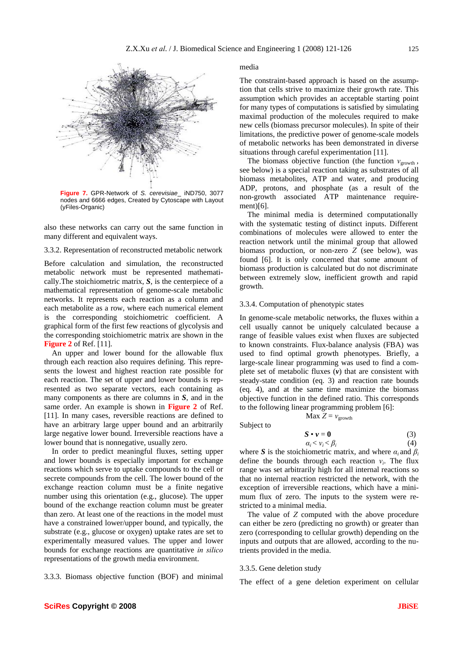

**Figure 7.** GPR-Network of *S. cerevisiae*\_ iND750, 3077 nodes and 6666 edges, Created by Cytoscape with Layout (yFiles-Organic)

also these networks can carry out the same function in many different and equivalent ways.

3.3.2. Representation of reconstructed metabolic network

Before calculation and simulation, the reconstructed metabolic network must be represented mathematically.The stoichiometric matrix, *S*, is the centerpiece of a mathematical representation of genome-scale metabolic networks. It represents each reaction as a column and each metabolite as a row, where each numerical element is the corresponding stoichiometric coefficient. A graphical form of the first few reactions of glycolysis and the corresponding stoichiometric matrix are shown in the **Figure 2** of Ref. [11].

An upper and lower bound for the allowable flux through each reaction also requires defining. This represents the lowest and highest reaction rate possible for each reaction. The set of upper and lower bounds is represented as two separate vectors, each containing as many components as there are columns in *S*, and in the same order. An example is shown in **Figure 2** of Ref. [11]. In many cases, reversible reactions are defined to have an arbitrary large upper bound and an arbitrarily large negative lower bound. Irreversible reactions have a lower bound that is nonnegative, usually zero.

In order to predict meaningful fluxes, setting upper and lower bounds is especially important for exchange reactions which serve to uptake compounds to the cell or secrete compounds from the cell. The lower bound of the exchange reaction column must be a finite negative number using this orientation (e.g., glucose). The upper bound of the exchange reaction column must be greater than zero. At least one of the reactions in the model must have a constrained lower/upper bound, and typically, the substrate (e.g., glucose or oxygen) uptake rates are set to experimentally measured values. The upper and lower bounds for exchange reactions are quantitative *in silico* representations of the growth media environment.

3.3.3. Biomass objective function (BOF) and minimal

#### media

The constraint-based approach is based on the assumption that cells strive to maximize their growth rate. This assumption which provides an acceptable starting point for many types of computations is satisfied by simulating maximal production of the molecules required to make new cells (biomass precursor molecules). In spite of their limitations, the predictive power of genome-scale models of metabolic networks has been demonstrated in diverse situations through careful experimentation [11].

The biomass objective function (the function  $v_{\text{growth}}$ , see below) is a special reaction taking as substrates of all biomass metabolites, ATP and water, and producing ADP, protons, and phosphate (as a result of the non-growth associated ATP maintenance requirement)[6].

The minimal media is determined computationally with the systematic testing of distinct inputs. Different combinations of molecules were allowed to enter the reaction network until the minimal group that allowed biomass production, or non-zero *Z* (see below), was found [6]. It is only concerned that some amount of biomass production is calculated but do not discriminate between extremely slow, inefficient growth and rapid growth.

#### 3.3.4. Computation of phenotypic states

In genome-scale metabolic networks, the fluxes within a cell usually cannot be uniquely calculated because a range of feasible values exist when fluxes are subjected to known constraints. Flux-balance analysis (FBA) was used to find optimal growth phenotypes. Briefly, a large-scale linear programming was used to find a complete set of metabolic fluxes (*v*) that are consistent with steady-state condition (eq. 3) and reaction rate bounds (eq. 4), and at the same time maximize the biomass objective function in the defined ratio. This corresponds to the following linear programming problem [6]:

$$
Max Z = v_{growth}
$$

Subject to

$$
\mathbf{S} \bullet \mathbf{v} = \mathbf{0} \tag{3}
$$
  
\n
$$
\alpha_i < \nu_i < \beta_i \tag{4}
$$

where *S* is the stoichiometric matrix, and where  $\alpha_i$  and  $\beta_i$ define the bounds through each reaction  $v_i$ . The flux range was set arbitrarily high for all internal reactions so that no internal reaction restricted the network, with the exception of irreversible reactions, which have a minimum flux of zero. The inputs to the system were restricted to a minimal media.

The value of *Z* computed with the above procedure can either be zero (predicting no growth) or greater than zero (corresponding to cellular growth) depending on the inputs and outputs that are allowed, according to the nutrients provided in the media.

#### 3.3.5. Gene deletion study

The effect of a gene deletion experiment on cellular